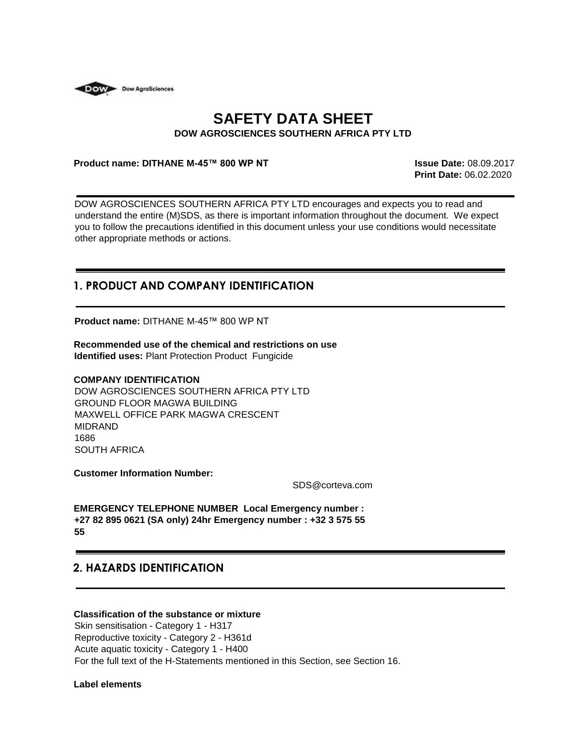

# **SAFETY DATA SHEET DOW AGROSCIENCES SOUTHERN AFRICA PTY LTD**

#### **Product name: DITHANE M-45™ 800 WP NT Issue Date:** 08.09.2017

**Print Date:** 06.02.2020

DOW AGROSCIENCES SOUTHERN AFRICA PTY LTD encourages and expects you to read and understand the entire (M)SDS, as there is important information throughout the document. We expect you to follow the precautions identified in this document unless your use conditions would necessitate other appropriate methods or actions.

## **1. PRODUCT AND COMPANY IDENTIFICATION**

**Product name:** DITHANE M-45™ 800 WP NT

**Recommended use of the chemical and restrictions on use Identified uses:** Plant Protection Product Fungicide

#### **COMPANY IDENTIFICATION**

DOW AGROSCIENCES SOUTHERN AFRICA PTY LTD GROUND FLOOR MAGWA BUILDING MAXWELL OFFICE PARK MAGWA CRESCENT MIDRAND 1686 SOUTH AFRICA

**Customer Information Number:** 

SDS@corteva.com

**EMERGENCY TELEPHONE NUMBER Local Emergency number : +27 82 895 0621 (SA only) 24hr Emergency number : +32 3 575 55 55**

## **2. HAZARDS IDENTIFICATION**

## **Classification of the substance or mixture**

Skin sensitisation - Category 1 - H317 Reproductive toxicity - Category 2 - H361d Acute aquatic toxicity - Category 1 - H400 For the full text of the H-Statements mentioned in this Section, see Section 16.

**Label elements**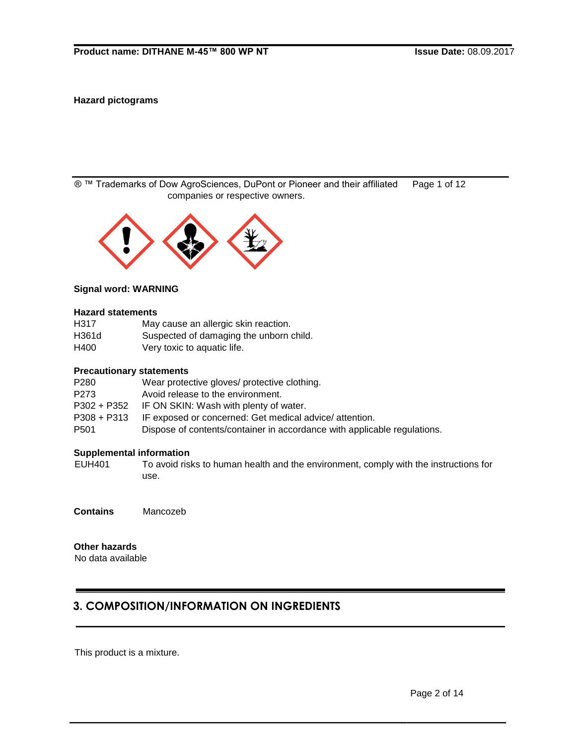## **Hazard pictograms**

® ™ Trademarks of Dow AgroSciences, DuPont or Pioneer and their affiliated Page 1 of 12 companies or respective owners.



#### **Signal word: WARNING**

#### **Hazard statements**

| H317  | May cause an allergic skin reaction.    |
|-------|-----------------------------------------|
| H361d | Suspected of damaging the unborn child. |
| H400  | Very toxic to aquatic life.             |

## **Precautionary statements**

| P280        | Wear protective gloves/ protective clothing.                             |
|-------------|--------------------------------------------------------------------------|
| P273        | Avoid release to the environment.                                        |
| P302 + P352 | IF ON SKIN: Wash with plenty of water.                                   |
| P308 + P313 | IF exposed or concerned: Get medical advice/attention.                   |
| P501        | Dispose of contents/container in accordance with applicable regulations. |

## **Supplemental information**

EUH401 To avoid risks to human health and the environment, comply with the instructions for use.

**Contains** Mancozeb

**Other hazards**

No data available

# **3. COMPOSITION/INFORMATION ON INGREDIENTS**

This product is a mixture.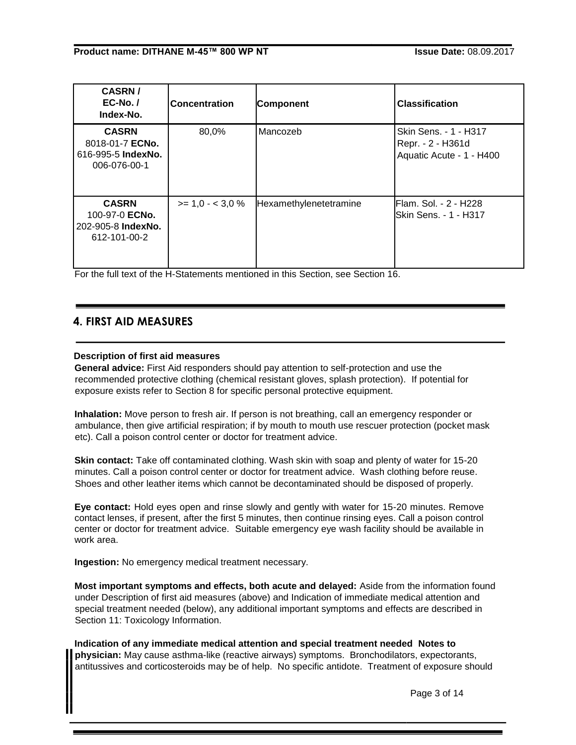| <b>CASRN/</b><br>$EC-No.$<br>Index-No.                                | <b>Concentration</b> | <b>Component</b>       | <b>Classification</b>                                                  |
|-----------------------------------------------------------------------|----------------------|------------------------|------------------------------------------------------------------------|
| <b>CASRN</b><br>8018-01-7 ECNo.<br>616-995-5 IndexNo.<br>006-076-00-1 | 80,0%                | Mancozeb               | Skin Sens. - 1 - H317<br>Repr. - 2 - H361d<br>Aquatic Acute - 1 - H400 |
| <b>CASRN</b><br>100-97-0 ECNo.<br>202-905-8 IndexNo.<br>612-101-00-2  | $>= 1.0 - < 3.0 %$   | Hexamethylenetetramine | <b>Flam. Sol. - 2 - H228</b><br>lSkin Sens. - 1 - H317                 |

For the full text of the H-Statements mentioned in this Section, see Section 16.

## **4. FIRST AID MEASURES**

## **Description of first aid measures**

**General advice:** First Aid responders should pay attention to self-protection and use the recommended protective clothing (chemical resistant gloves, splash protection). If potential for exposure exists refer to Section 8 for specific personal protective equipment.

**Inhalation:** Move person to fresh air. If person is not breathing, call an emergency responder or ambulance, then give artificial respiration; if by mouth to mouth use rescuer protection (pocket mask etc). Call a poison control center or doctor for treatment advice.

**Skin contact:** Take off contaminated clothing. Wash skin with soap and plenty of water for 15-20 minutes. Call a poison control center or doctor for treatment advice. Wash clothing before reuse. Shoes and other leather items which cannot be decontaminated should be disposed of properly.

**Eye contact:** Hold eyes open and rinse slowly and gently with water for 15-20 minutes. Remove contact lenses, if present, after the first 5 minutes, then continue rinsing eyes. Call a poison control center or doctor for treatment advice. Suitable emergency eye wash facility should be available in work area.

**Ingestion:** No emergency medical treatment necessary.

**Most important symptoms and effects, both acute and delayed:** Aside from the information found under Description of first aid measures (above) and Indication of immediate medical attention and special treatment needed (below), any additional important symptoms and effects are described in Section 11: Toxicology Information.

**Indication of any immediate medical attention and special treatment needed Notes to physician:** May cause asthma-like (reactive airways) symptoms. Bronchodilators, expectorants, antitussives and corticosteroids may be of help. No specific antidote. Treatment of exposure should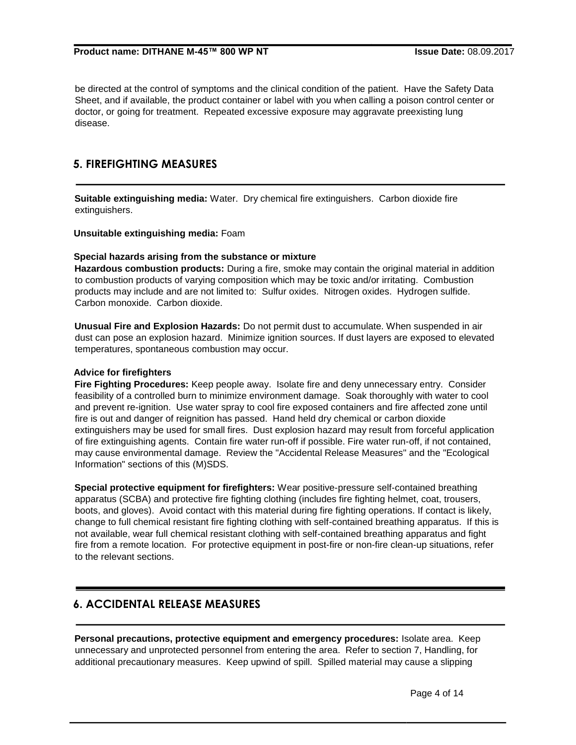be directed at the control of symptoms and the clinical condition of the patient. Have the Safety Data Sheet, and if available, the product container or label with you when calling a poison control center or doctor, or going for treatment. Repeated excessive exposure may aggravate preexisting lung disease.

## **5. FIREFIGHTING MEASURES**

**Suitable extinguishing media:** Water. Dry chemical fire extinguishers. Carbon dioxide fire extinguishers.

**Unsuitable extinguishing media:** Foam

#### **Special hazards arising from the substance or mixture**

**Hazardous combustion products:** During a fire, smoke may contain the original material in addition to combustion products of varying composition which may be toxic and/or irritating. Combustion products may include and are not limited to: Sulfur oxides. Nitrogen oxides. Hydrogen sulfide. Carbon monoxide. Carbon dioxide.

**Unusual Fire and Explosion Hazards:** Do not permit dust to accumulate. When suspended in air dust can pose an explosion hazard. Minimize ignition sources. If dust layers are exposed to elevated temperatures, spontaneous combustion may occur.

#### **Advice for firefighters**

**Fire Fighting Procedures:** Keep people away. Isolate fire and deny unnecessary entry. Consider feasibility of a controlled burn to minimize environment damage. Soak thoroughly with water to cool and prevent re-ignition. Use water spray to cool fire exposed containers and fire affected zone until fire is out and danger of reignition has passed. Hand held dry chemical or carbon dioxide extinguishers may be used for small fires. Dust explosion hazard may result from forceful application of fire extinguishing agents. Contain fire water run-off if possible. Fire water run-off, if not contained, may cause environmental damage. Review the "Accidental Release Measures" and the "Ecological Information" sections of this (M)SDS.

**Special protective equipment for firefighters:** Wear positive-pressure self-contained breathing apparatus (SCBA) and protective fire fighting clothing (includes fire fighting helmet, coat, trousers, boots, and gloves). Avoid contact with this material during fire fighting operations. If contact is likely, change to full chemical resistant fire fighting clothing with self-contained breathing apparatus. If this is not available, wear full chemical resistant clothing with self-contained breathing apparatus and fight fire from a remote location. For protective equipment in post-fire or non-fire clean-up situations, refer to the relevant sections.

## **6. ACCIDENTAL RELEASE MEASURES**

**Personal precautions, protective equipment and emergency procedures:** Isolate area. Keep unnecessary and unprotected personnel from entering the area. Refer to section 7, Handling, for additional precautionary measures. Keep upwind of spill. Spilled material may cause a slipping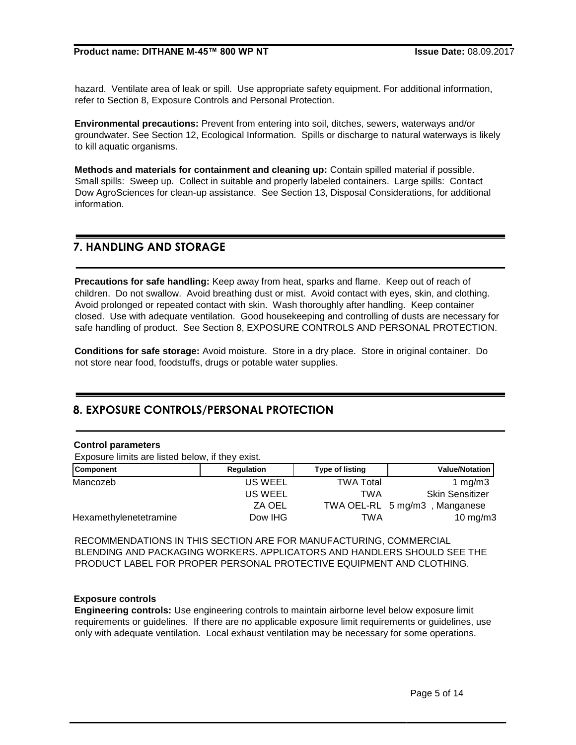hazard. Ventilate area of leak or spill. Use appropriate safety equipment. For additional information, refer to Section 8, Exposure Controls and Personal Protection.

**Environmental precautions:** Prevent from entering into soil, ditches, sewers, waterways and/or groundwater. See Section 12, Ecological Information. Spills or discharge to natural waterways is likely to kill aquatic organisms.

**Methods and materials for containment and cleaning up:** Contain spilled material if possible. Small spills: Sweep up. Collect in suitable and properly labeled containers. Large spills: Contact Dow AgroSciences for clean-up assistance. See Section 13, Disposal Considerations, for additional information.

## **7. HANDLING AND STORAGE**

**Precautions for safe handling:** Keep away from heat, sparks and flame. Keep out of reach of children. Do not swallow. Avoid breathing dust or mist. Avoid contact with eyes, skin, and clothing. Avoid prolonged or repeated contact with skin. Wash thoroughly after handling. Keep container closed. Use with adequate ventilation. Good housekeeping and controlling of dusts are necessary for safe handling of product. See Section 8, EXPOSURE CONTROLS AND PERSONAL PROTECTION.

**Conditions for safe storage:** Avoid moisture. Store in a dry place. Store in original container. Do not store near food, foodstuffs, drugs or potable water supplies.

## **8. EXPOSURE CONTROLS/PERSONAL PROTECTION**

#### **Control parameters**

Exposure limits are listed below, if they exist.

| <b>Component</b>       | Regulation     | <b>Type of listing</b> | <b>Value/Notation</b>  |
|------------------------|----------------|------------------------|------------------------|
| Mancozeb               | <b>US WEEL</b> | <b>TWA Total</b>       | 1 $mg/m3$              |
|                        | US WEEL        | TWA                    | <b>Skin Sensitizer</b> |
|                        | ZA OEL         | TWA OEL-RL 5 mg/m3     | , Manganese            |
| Hexamethylenetetramine | Dow IHG        | TWA                    | 10 mg/m $3$            |

RECOMMENDATIONS IN THIS SECTION ARE FOR MANUFACTURING, COMMERCIAL BLENDING AND PACKAGING WORKERS. APPLICATORS AND HANDLERS SHOULD SEE THE PRODUCT LABEL FOR PROPER PERSONAL PROTECTIVE EQUIPMENT AND CLOTHING.

## **Exposure controls**

**Engineering controls:** Use engineering controls to maintain airborne level below exposure limit requirements or guidelines. If there are no applicable exposure limit requirements or guidelines, use only with adequate ventilation. Local exhaust ventilation may be necessary for some operations.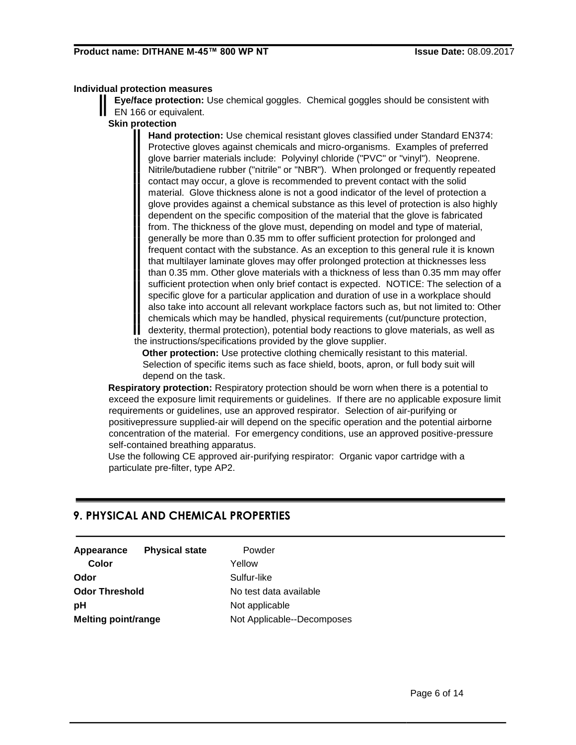## **Individual protection measures**

**Eye/face protection:** Use chemical goggles. Chemical goggles should be consistent with EN 166 or equivalent.

## **Skin protection**

**Hand protection:** Use chemical resistant gloves classified under Standard EN374: Protective gloves against chemicals and micro-organisms. Examples of preferred glove barrier materials include: Polyvinyl chloride ("PVC" or "vinyl"). Neoprene. Nitrile/butadiene rubber ("nitrile" or "NBR"). When prolonged or frequently repeated contact may occur, a glove is recommended to prevent contact with the solid material. Glove thickness alone is not a good indicator of the level of protection a glove provides against a chemical substance as this level of protection is also highly dependent on the specific composition of the material that the glove is fabricated from. The thickness of the glove must, depending on model and type of material, generally be more than 0.35 mm to offer sufficient protection for prolonged and frequent contact with the substance. As an exception to this general rule it is known that multilayer laminate gloves may offer prolonged protection at thicknesses less than 0.35 mm. Other glove materials with a thickness of less than 0.35 mm may offer sufficient protection when only brief contact is expected. NOTICE: The selection of a specific glove for a particular application and duration of use in a workplace should also take into account all relevant workplace factors such as, but not limited to: Other chemicals which may be handled, physical requirements (cut/puncture protection, dexterity, thermal protection), potential body reactions to glove materials, as well as the instructions/specifications provided by the glove supplier.

**Other protection:** Use protective clothing chemically resistant to this material. Selection of specific items such as face shield, boots, apron, or full body suit will depend on the task.

**Respiratory protection:** Respiratory protection should be worn when there is a potential to exceed the exposure limit requirements or guidelines. If there are no applicable exposure limit requirements or guidelines, use an approved respirator. Selection of air-purifying or positivepressure supplied-air will depend on the specific operation and the potential airborne concentration of the material. For emergency conditions, use an approved positive-pressure self-contained breathing apparatus.

Use the following CE approved air-purifying respirator: Organic vapor cartridge with a particulate pre-filter, type AP2.

## **9. PHYSICAL AND CHEMICAL PROPERTIES**

| <b>Physical state</b>      | Powder                     |
|----------------------------|----------------------------|
|                            | Yellow                     |
|                            | Sulfur-like                |
| <b>Odor Threshold</b>      | No test data available     |
|                            | Not applicable             |
| <b>Melting point/range</b> | Not Applicable--Decomposes |
|                            |                            |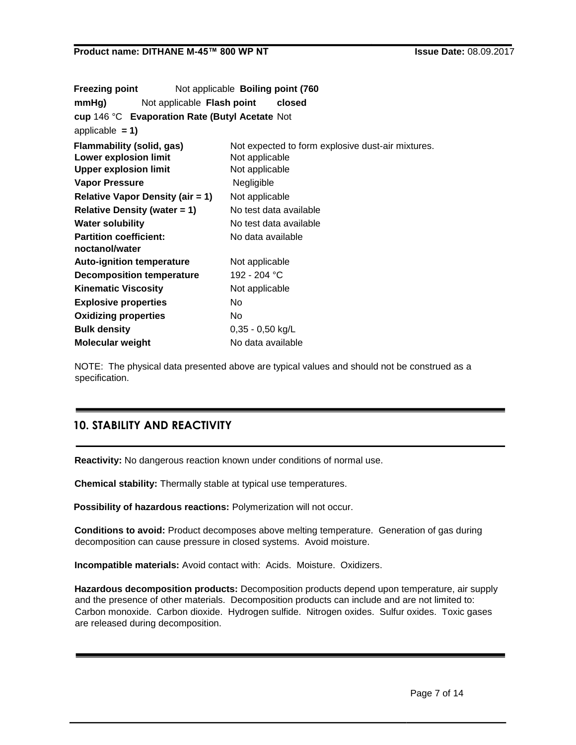| <b>Freezing point</b>                                                                     |                                                | Not applicable Boiling point (760                                                     |
|-------------------------------------------------------------------------------------------|------------------------------------------------|---------------------------------------------------------------------------------------|
| mmHg)                                                                                     | Not applicable Flash point                     | closed                                                                                |
|                                                                                           | cup 146 °C Evaporation Rate (Butyl Acetate Not |                                                                                       |
| applicable $= 1$ )                                                                        |                                                |                                                                                       |
| Flammability (solid, gas)<br><b>Lower explosion limit</b><br><b>Upper explosion limit</b> |                                                | Not expected to form explosive dust-air mixtures.<br>Not applicable<br>Not applicable |
| Vapor Pressure                                                                            |                                                | Negligible                                                                            |
|                                                                                           | <b>Relative Vapor Density (air = 1)</b>        | Not applicable                                                                        |
| <b>Relative Density (water = 1)</b>                                                       |                                                | No test data available                                                                |
| <b>Water solubility</b>                                                                   |                                                | No test data available                                                                |
| <b>Partition coefficient:</b><br>noctanol/water                                           |                                                | No data available                                                                     |
| <b>Auto-ignition temperature</b>                                                          |                                                | Not applicable                                                                        |
| <b>Decomposition temperature</b>                                                          |                                                | 192 - 204 °C                                                                          |
| <b>Kinematic Viscosity</b>                                                                |                                                | Not applicable                                                                        |
| <b>Explosive properties</b>                                                               |                                                | No.                                                                                   |
| <b>Oxidizing properties</b>                                                               |                                                | No.                                                                                   |
| <b>Bulk density</b>                                                                       |                                                | $0,35 - 0,50$ kg/L                                                                    |
| <b>Molecular weight</b>                                                                   |                                                | No data available                                                                     |

NOTE: The physical data presented above are typical values and should not be construed as a specification.

# **10. STABILITY AND REACTIVITY**

**Reactivity:** No dangerous reaction known under conditions of normal use.

**Chemical stability:** Thermally stable at typical use temperatures.

**Possibility of hazardous reactions:** Polymerization will not occur.

**Conditions to avoid:** Product decomposes above melting temperature. Generation of gas during decomposition can cause pressure in closed systems. Avoid moisture.

**Incompatible materials:** Avoid contact with: Acids. Moisture. Oxidizers.

**Hazardous decomposition products:** Decomposition products depend upon temperature, air supply and the presence of other materials. Decomposition products can include and are not limited to: Carbon monoxide. Carbon dioxide. Hydrogen sulfide. Nitrogen oxides. Sulfur oxides. Toxic gases are released during decomposition.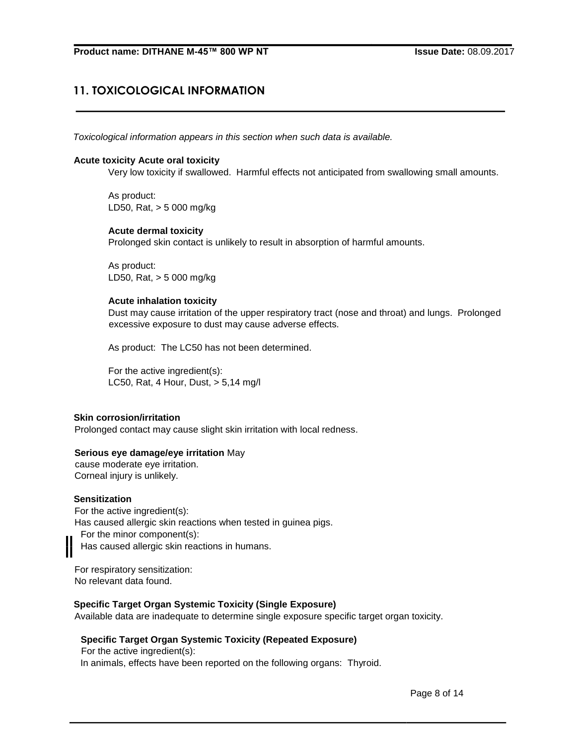# **11. TOXICOLOGICAL INFORMATION**

*Toxicological information appears in this section when such data is available.*

#### **Acute toxicity Acute oral toxicity**

Very low toxicity if swallowed. Harmful effects not anticipated from swallowing small amounts.

As product: LD50, Rat, > 5 000 mg/kg

## **Acute dermal toxicity**

Prolonged skin contact is unlikely to result in absorption of harmful amounts.

As product: LD50, Rat, > 5 000 mg/kg

#### **Acute inhalation toxicity**

Dust may cause irritation of the upper respiratory tract (nose and throat) and lungs. Prolonged excessive exposure to dust may cause adverse effects.

As product: The LC50 has not been determined.

For the active ingredient(s): LC50, Rat, 4 Hour, Dust, > 5,14 mg/l

#### **Skin corrosion/irritation**

Prolonged contact may cause slight skin irritation with local redness.

## **Serious eye damage/eye irritation** May

cause moderate eye irritation. Corneal injury is unlikely.

#### **Sensitization**

For the active ingredient(s): Has caused allergic skin reactions when tested in guinea pigs. For the minor component(s): Has caused allergic skin reactions in humans.

For respiratory sensitization: No relevant data found.

## **Specific Target Organ Systemic Toxicity (Single Exposure)**

Available data are inadequate to determine single exposure specific target organ toxicity.

## **Specific Target Organ Systemic Toxicity (Repeated Exposure)**

For the active ingredient(s): In animals, effects have been reported on the following organs: Thyroid.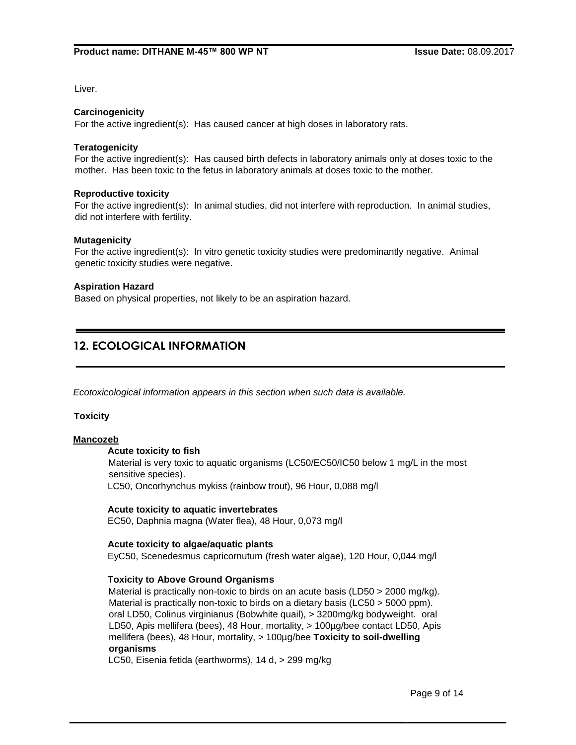Liver.

#### **Carcinogenicity**

For the active ingredient(s): Has caused cancer at high doses in laboratory rats.

#### **Teratogenicity**

For the active ingredient(s): Has caused birth defects in laboratory animals only at doses toxic to the mother. Has been toxic to the fetus in laboratory animals at doses toxic to the mother.

#### **Reproductive toxicity**

For the active ingredient(s): In animal studies, did not interfere with reproduction. In animal studies, did not interfere with fertility.

#### **Mutagenicity**

For the active ingredient(s): In vitro genetic toxicity studies were predominantly negative. Animal genetic toxicity studies were negative.

#### **Aspiration Hazard**

Based on physical properties, not likely to be an aspiration hazard.

## **12. ECOLOGICAL INFORMATION**

*Ecotoxicological information appears in this section when such data is available.*

#### **Toxicity**

#### **Mancozeb**

#### **Acute toxicity to fish**

Material is very toxic to aquatic organisms (LC50/EC50/IC50 below 1 mg/L in the most sensitive species).

LC50, Oncorhynchus mykiss (rainbow trout), 96 Hour, 0,088 mg/l

#### **Acute toxicity to aquatic invertebrates**

EC50, Daphnia magna (Water flea), 48 Hour, 0,073 mg/l

#### **Acute toxicity to algae/aquatic plants**

EyC50, Scenedesmus capricornutum (fresh water algae), 120 Hour, 0,044 mg/l

## **Toxicity to Above Ground Organisms**

Material is practically non-toxic to birds on an acute basis (LD50 > 2000 mg/kg). Material is practically non-toxic to birds on a dietary basis (LC50 > 5000 ppm). oral LD50, Colinus virginianus (Bobwhite quail), > 3200mg/kg bodyweight. oral LD50, Apis mellifera (bees), 48 Hour, mortality, > 100µg/bee contact LD50, Apis mellifera (bees), 48 Hour, mortality, > 100µg/bee **Toxicity to soil-dwelling organisms**

LC50, Eisenia fetida (earthworms), 14 d, > 299 mg/kg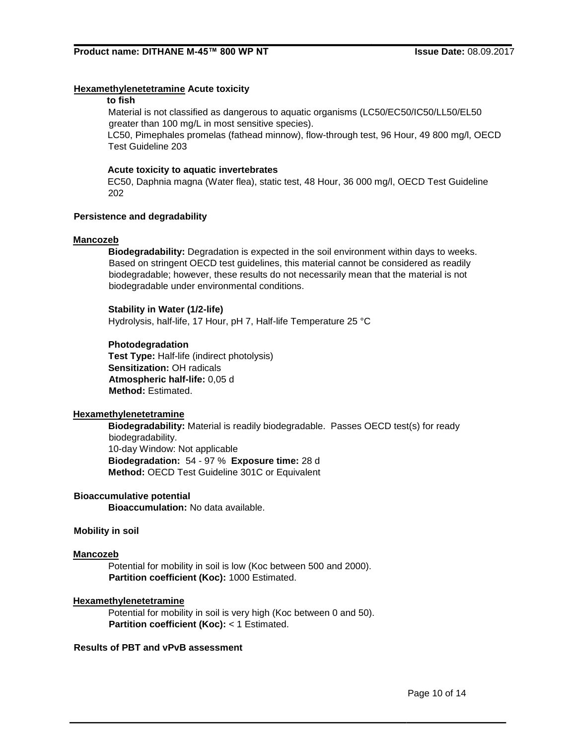## **Hexamethylenetetramine Acute toxicity**

## **to fish**

Material is not classified as dangerous to aquatic organisms (LC50/EC50/IC50/LL50/EL50 greater than 100 mg/L in most sensitive species).

LC50, Pimephales promelas (fathead minnow), flow-through test, 96 Hour, 49 800 mg/l, OECD Test Guideline 203

#### **Acute toxicity to aquatic invertebrates**

EC50, Daphnia magna (Water flea), static test, 48 Hour, 36 000 mg/l, OECD Test Guideline 202

#### **Persistence and degradability**

#### **Mancozeb**

**Biodegradability:** Degradation is expected in the soil environment within days to weeks. Based on stringent OECD test guidelines, this material cannot be considered as readily biodegradable; however, these results do not necessarily mean that the material is not biodegradable under environmental conditions.

#### **Stability in Water (1/2-life)**

Hydrolysis, half-life, 17 Hour, pH 7, Half-life Temperature 25 °C

## **Photodegradation**

**Test Type:** Half-life (indirect photolysis) **Sensitization:** OH radicals **Atmospheric half-life:** 0,05 d **Method:** Estimated.

## **Hexamethylenetetramine**

**Biodegradability:** Material is readily biodegradable. Passes OECD test(s) for ready biodegradability. 10-day Window: Not applicable **Biodegradation:** 54 - 97 % **Exposure time:** 28 d **Method:** OECD Test Guideline 301C or Equivalent

## **Bioaccumulative potential**

**Bioaccumulation:** No data available.

#### **Mobility in soil**

#### **Mancozeb**

Potential for mobility in soil is low (Koc between 500 and 2000). **Partition coefficient (Koc):** 1000 Estimated.

#### **Hexamethylenetetramine**

Potential for mobility in soil is very high (Koc between 0 and 50). **Partition coefficient (Koc):** < 1 Estimated.

#### **Results of PBT and vPvB assessment**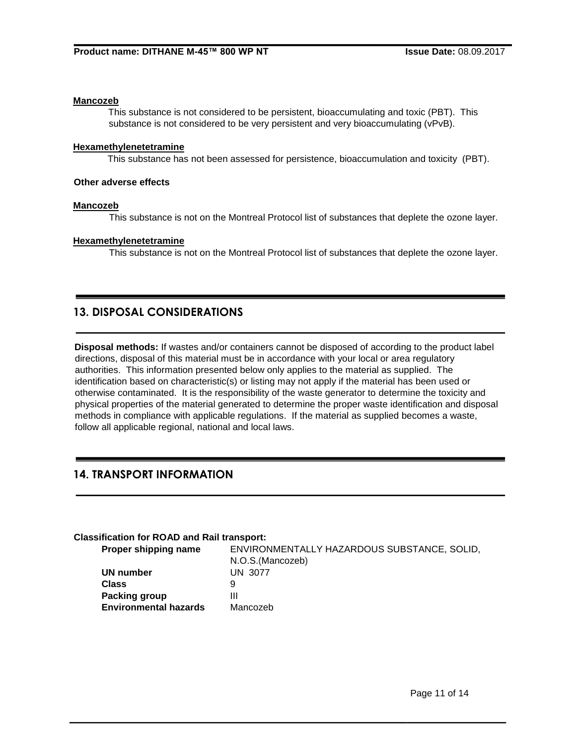#### **Mancozeb**

This substance is not considered to be persistent, bioaccumulating and toxic (PBT). This substance is not considered to be very persistent and very bioaccumulating (vPvB).

## **Hexamethylenetetramine**

This substance has not been assessed for persistence, bioaccumulation and toxicity (PBT).

## **Other adverse effects**

#### **Mancozeb**

This substance is not on the Montreal Protocol list of substances that deplete the ozone layer.

#### **Hexamethylenetetramine**

This substance is not on the Montreal Protocol list of substances that deplete the ozone layer.

## **13. DISPOSAL CONSIDERATIONS**

**Disposal methods:** If wastes and/or containers cannot be disposed of according to the product label directions, disposal of this material must be in accordance with your local or area regulatory authorities. This information presented below only applies to the material as supplied. The identification based on characteristic(s) or listing may not apply if the material has been used or otherwise contaminated. It is the responsibility of the waste generator to determine the toxicity and physical properties of the material generated to determine the proper waste identification and disposal methods in compliance with applicable regulations. If the material as supplied becomes a waste, follow all applicable regional, national and local laws.

## **14. TRANSPORT INFORMATION**

## **Classification for ROAD and Rail transport:**

| Proper shipping name         | ENVIRONMENTALLY HAZARDOUS SUBSTANCE, SOLID, |
|------------------------------|---------------------------------------------|
|                              | N.O.S. (Mancozeb)                           |
| UN number                    | UN 3077                                     |
| <b>Class</b>                 | 9                                           |
| <b>Packing group</b>         | Ш                                           |
| <b>Environmental hazards</b> | Mancozeb                                    |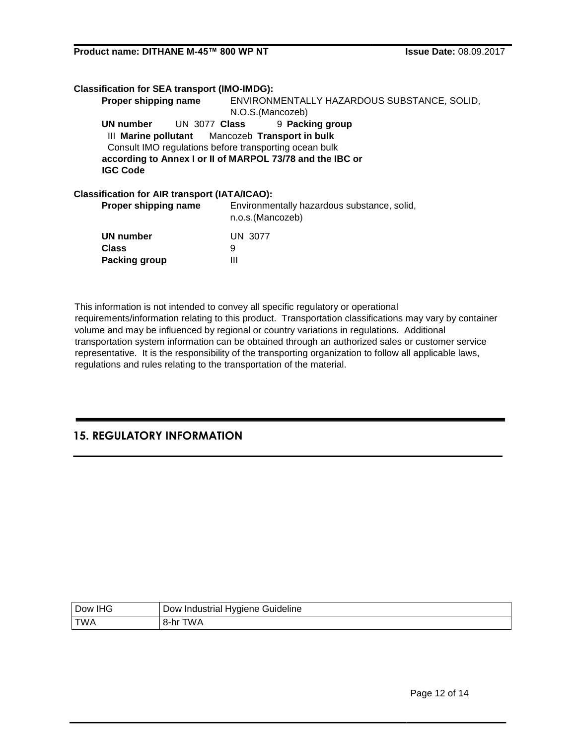| <b>Classification for SEA transport (IMO-IMDG):</b>  |                                                                 |  |
|------------------------------------------------------|-----------------------------------------------------------------|--|
| Proper shipping name                                 | ENVIRONMENTALLY HAZARDOUS SUBSTANCE, SOLID,                     |  |
|                                                      | N.O.S.(Mancozeb)                                                |  |
| <b>UN 3077 Class</b><br>UN number                    | 9 Packing group                                                 |  |
|                                                      | III Marine pollutant Mancozeb Transport in bulk                 |  |
|                                                      | Consult IMO regulations before transporting ocean bulk          |  |
|                                                      | according to Annex I or II of MARPOL 73/78 and the IBC or       |  |
| <b>IGC Code</b>                                      |                                                                 |  |
| <b>Classification for AIR transport (IATA/ICAO):</b> |                                                                 |  |
| Proper shipping name                                 | Environmentally hazardous substance, solid,<br>n.o.s.(Mancozeb) |  |
| ممطمعن اللك                                          | 11N1.227                                                        |  |

| UN number            | UN 3077 |
|----------------------|---------|
| <b>Class</b>         | 9       |
| <b>Packing group</b> | Ш       |

This information is not intended to convey all specific regulatory or operational requirements/information relating to this product. Transportation classifications may vary by container volume and may be influenced by regional or country variations in regulations. Additional transportation system information can be obtained through an authorized sales or customer service representative. It is the responsibility of the transporting organization to follow all applicable laws, regulations and rules relating to the transportation of the material.

## **15. REGULATORY INFORMATION**

| Dow IHG    | I Dow Industrial Hygiene Guideline |
|------------|------------------------------------|
| <b>TWA</b> | 8-hr TWA                           |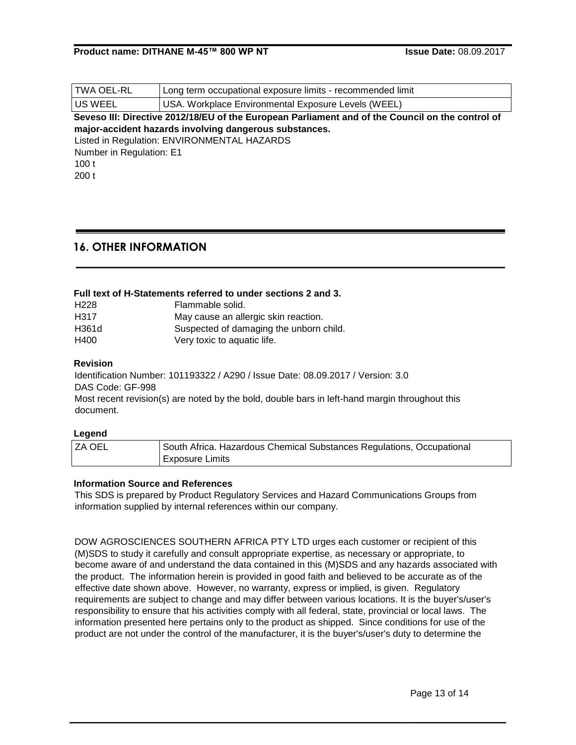| TWA OEL-RL                                                                                       | Long term occupational exposure limits - recommended limit |  |
|--------------------------------------------------------------------------------------------------|------------------------------------------------------------|--|
| US WEEL                                                                                          | USA. Workplace Environmental Exposure Levels (WEEL)        |  |
| Seveso III: Directive 2012/18/EU of the European Parliament and of the Council on the control of |                                                            |  |
| major-accident hazards involving dangerous substances.                                           |                                                            |  |
| Listed in Regulation: ENVIRONMENTAL HAZARDS                                                      |                                                            |  |

Number in Regulation: E1 100 t 200 t

## **16. OTHER INFORMATION**

## **Full text of H-Statements referred to under sections 2 and 3.**

| H <sub>228</sub> | Flammable solid.                        |
|------------------|-----------------------------------------|
| H317             | May cause an allergic skin reaction.    |
| H361d            | Suspected of damaging the unborn child. |
| H400             | Very toxic to aquatic life.             |

## **Revision**

Identification Number: 101193322 / A290 / Issue Date: 08.09.2017 / Version: 3.0 DAS Code: GF-998

Most recent revision(s) are noted by the bold, double bars in left-hand margin throughout this document.

## **Legend**

| ZA OEL | South Africa. Hazardous Chemical Substances Regulations, Occupational |
|--------|-----------------------------------------------------------------------|
|        | <b>Exposure Limits</b>                                                |

## **Information Source and References**

This SDS is prepared by Product Regulatory Services and Hazard Communications Groups from information supplied by internal references within our company.

DOW AGROSCIENCES SOUTHERN AFRICA PTY LTD urges each customer or recipient of this (M)SDS to study it carefully and consult appropriate expertise, as necessary or appropriate, to become aware of and understand the data contained in this (M)SDS and any hazards associated with the product. The information herein is provided in good faith and believed to be accurate as of the effective date shown above. However, no warranty, express or implied, is given. Regulatory requirements are subject to change and may differ between various locations. It is the buyer's/user's responsibility to ensure that his activities comply with all federal, state, provincial or local laws. The information presented here pertains only to the product as shipped. Since conditions for use of the product are not under the control of the manufacturer, it is the buyer's/user's duty to determine the